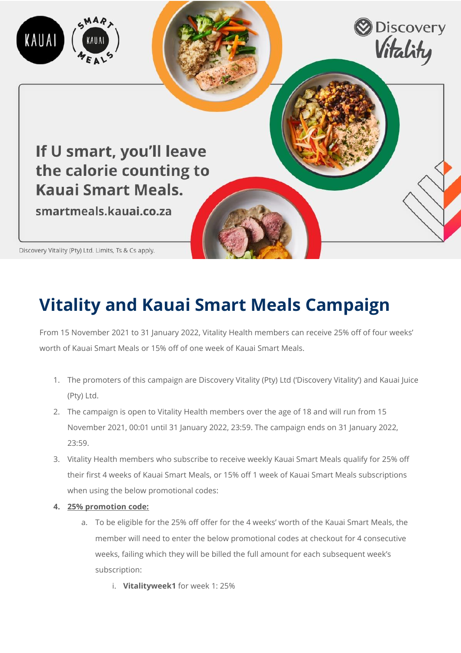

## **Vitality and Kauai Smart Meals Campaign**

From 15 November 2021 to 31 January 2022, Vitality Health members can receive 25% off of four weeks' worth of Kauai Smart Meals or 15% off of one week of Kauai Smart Meals.

- 1. The promoters of this campaign are Discovery Vitality (Pty) Ltd ('Discovery Vitality') and Kauai Juice (Pty) Ltd.
- 2. The campaign is open to Vitality Health members over the age of 18 and will run from 15 November 2021, 00:01 until 31 January 2022, 23:59. The campaign ends on 31 January 2022, 23:59.
- 3. Vitality Health members who subscribe to receive weekly Kauai Smart Meals qualify for 25% off their first 4 weeks of Kauai Smart Meals, or 15% off 1 week of Kauai Smart Meals subscriptions when using the below promotional codes:
- **4. 25% promotion code:**
	- a. To be eligible for the 25% off offer for the 4 weeks' worth of the Kauai Smart Meals, the member will need to enter the below promotional codes at checkout for 4 consecutive weeks, failing which they will be billed the full amount for each subsequent week's subscription:
		- i. **Vitalityweek1** for week 1: 25%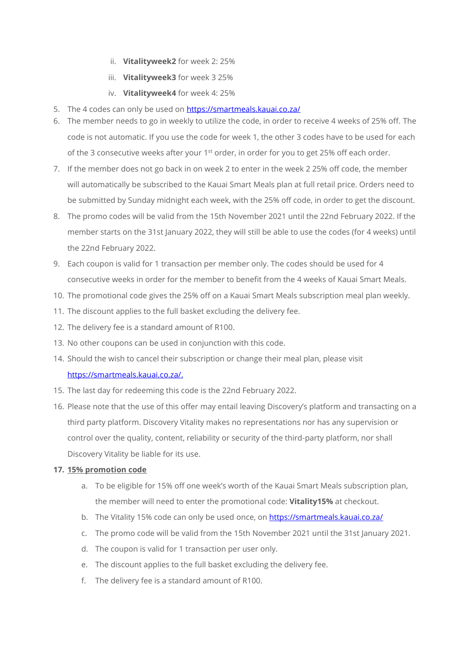- ii. **Vitalityweek2** for week 2: 25%
- iii. **Vitalityweek3** for week 3 25%
- iv. **Vitalityweek4** for week 4: 25%
- 5. The 4 codes can only be used on<https://smartmeals.kauai.co.za/>
- 6. The member needs to go in weekly to utilize the code, in order to receive 4 weeks of 25% off. The code is not automatic. If you use the code for week 1, the other 3 codes have to be used for each of the 3 consecutive weeks after your  $1<sup>st</sup>$  order, in order for you to get 25% off each order.
- 7. If the member does not go back in on week 2 to enter in the week 2 25% off code, the member will automatically be subscribed to the Kauai Smart Meals plan at full retail price. Orders need to be submitted by Sunday midnight each week, with the 25% off code, in order to get the discount.
- 8. The promo codes will be valid from the 15th November 2021 until the 22nd February 2022. If the member starts on the 31st January 2022, they will still be able to use the codes (for 4 weeks) until the 22nd February 2022.
- 9. Each coupon is valid for 1 transaction per member only. The codes should be used for 4 consecutive weeks in order for the member to benefit from the 4 weeks of Kauai Smart Meals.
- 10. The promotional code gives the 25% off on a Kauai Smart Meals subscription meal plan weekly.
- 11. The discount applies to the full basket excluding the delivery fee.
- 12. The delivery fee is a standard amount of R100.
- 13. No other coupons can be used in conjunction with this code.
- 14. Should the wish to cancel their subscription or change their meal plan, please visit [https://smartmeals.kauai.co.za/.](https://smartmeals.kauai.co.za/)
- 15. The last day for redeeming this code is the 22nd February 2022.
- 16. Please note that the use of this offer may entail leaving Discovery's platform and transacting on a third party platform. Discovery Vitality makes no representations nor has any supervision or control over the quality, content, reliability or security of the third-party platform, nor shall Discovery Vitality be liable for its use.

## **17. 15% promotion code**

- a. To be eligible for 15% off one week's worth of the Kauai Smart Meals subscription plan, the member will need to enter the promotional code: **Vitality15%** at checkout.
- b. The Vitality 15% code can only be used once, on<https://smartmeals.kauai.co.za/>
- c. The promo code will be valid from the 15th November 2021 until the 31st January 2021.
- d. The coupon is valid for 1 transaction per user only.
- e. The discount applies to the full basket excluding the delivery fee.
- f. The delivery fee is a standard amount of R100.